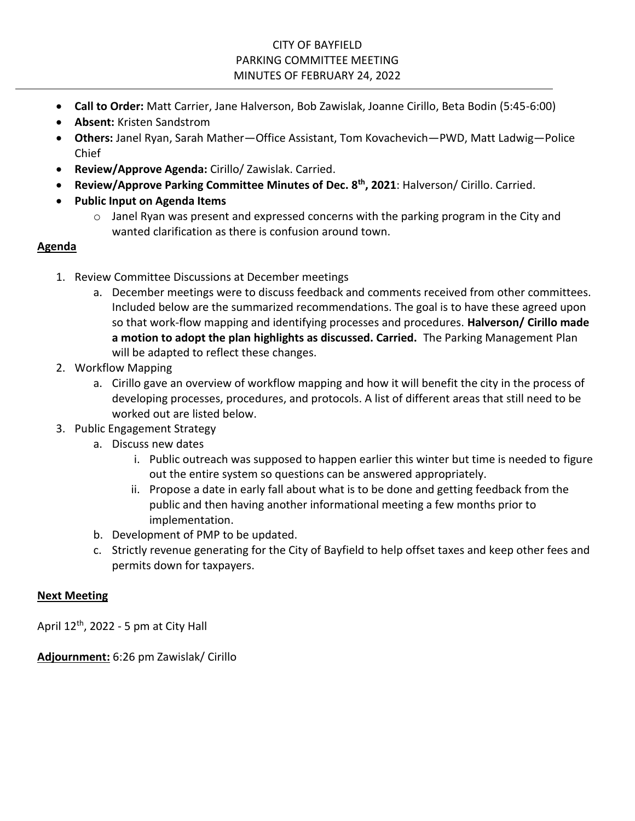- **Call to Order:** Matt Carrier, Jane Halverson, Bob Zawislak, Joanne Cirillo, Beta Bodin (5:45-6:00)
- **Absent:** Kristen Sandstrom
- **Others:** Janel Ryan, Sarah Mather—Office Assistant, Tom Kovachevich—PWD, Matt Ladwig—Police Chief
- **Review/Approve Agenda:** Cirillo/ Zawislak. Carried.
- **Review/Approve Parking Committee Minutes of Dec. 8 th, 2021**: Halverson/ Cirillo. Carried.
- **Public Input on Agenda Items**
	- o Janel Ryan was present and expressed concerns with the parking program in the City and wanted clarification as there is confusion around town.

# **Agenda**

- 1. Review Committee Discussions at December meetings
	- a. December meetings were to discuss feedback and comments received from other committees. Included below are the summarized recommendations. The goal is to have these agreed upon so that work-flow mapping and identifying processes and procedures. **Halverson/ Cirillo made a motion to adopt the plan highlights as discussed. Carried.** The Parking Management Plan will be adapted to reflect these changes.
- 2. Workflow Mapping
	- a. Cirillo gave an overview of workflow mapping and how it will benefit the city in the process of developing processes, procedures, and protocols. A list of different areas that still need to be worked out are listed below.
- 3. Public Engagement Strategy
	- a. Discuss new dates
		- i. Public outreach was supposed to happen earlier this winter but time is needed to figure out the entire system so questions can be answered appropriately.
		- ii. Propose a date in early fall about what is to be done and getting feedback from the public and then having another informational meeting a few months prior to implementation.
	- b. Development of PMP to be updated.
	- c. Strictly revenue generating for the City of Bayfield to help offset taxes and keep other fees and permits down for taxpayers.

# **Next Meeting**

April  $12<sup>th</sup>$ , 2022 - 5 pm at City Hall

**Adjournment:** 6:26 pm Zawislak/ Cirillo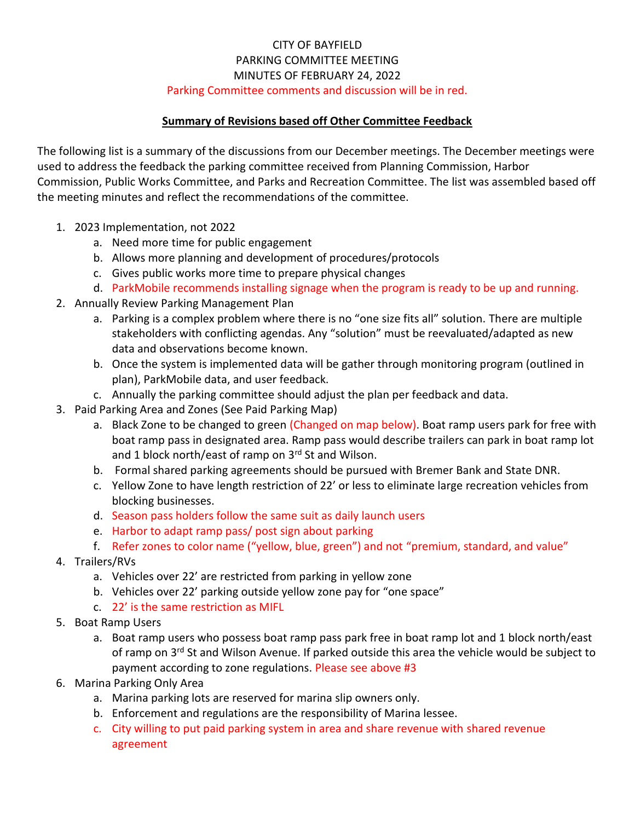# Parking Committee comments and discussion will be in red.

### **Summary of Revisions based off Other Committee Feedback**

The following list is a summary of the discussions from our December meetings. The December meetings were used to address the feedback the parking committee received from Planning Commission, Harbor Commission, Public Works Committee, and Parks and Recreation Committee. The list was assembled based off the meeting minutes and reflect the recommendations of the committee.

- 1. 2023 Implementation, not 2022
	- a. Need more time for public engagement
	- b. Allows more planning and development of procedures/protocols
	- c. Gives public works more time to prepare physical changes
	- d. ParkMobile recommends installing signage when the program is ready to be up and running.
- 2. Annually Review Parking Management Plan
	- a. Parking is a complex problem where there is no "one size fits all" solution. There are multiple stakeholders with conflicting agendas. Any "solution" must be reevaluated/adapted as new data and observations become known.
	- b. Once the system is implemented data will be gather through monitoring program (outlined in plan), ParkMobile data, and user feedback.
	- c. Annually the parking committee should adjust the plan per feedback and data.
- 3. Paid Parking Area and Zones (See Paid Parking Map)
	- a. Black Zone to be changed to green (Changed on map below). Boat ramp users park for free with boat ramp pass in designated area. Ramp pass would describe trailers can park in boat ramp lot and 1 block north/east of ramp on 3rd St and Wilson.
	- b. Formal shared parking agreements should be pursued with Bremer Bank and State DNR.
	- c. Yellow Zone to have length restriction of 22' or less to eliminate large recreation vehicles from blocking businesses.
	- d. Season pass holders follow the same suit as daily launch users
	- e. Harbor to adapt ramp pass/ post sign about parking
	- f. Refer zones to color name ("yellow, blue, green") and not "premium, standard, and value"
- 4. Trailers/RVs
	- a. Vehicles over 22' are restricted from parking in yellow zone
	- b. Vehicles over 22' parking outside yellow zone pay for "one space"
	- c. 22' is the same restriction as MIFL
- 5. Boat Ramp Users
	- a. Boat ramp users who possess boat ramp pass park free in boat ramp lot and 1 block north/east of ramp on 3<sup>rd</sup> St and Wilson Avenue. If parked outside this area the vehicle would be subject to payment according to zone regulations. Please see above #3
- 6. Marina Parking Only Area
	- a. Marina parking lots are reserved for marina slip owners only.
	- b. Enforcement and regulations are the responsibility of Marina lessee.
	- c. City willing to put paid parking system in area and share revenue with shared revenue agreement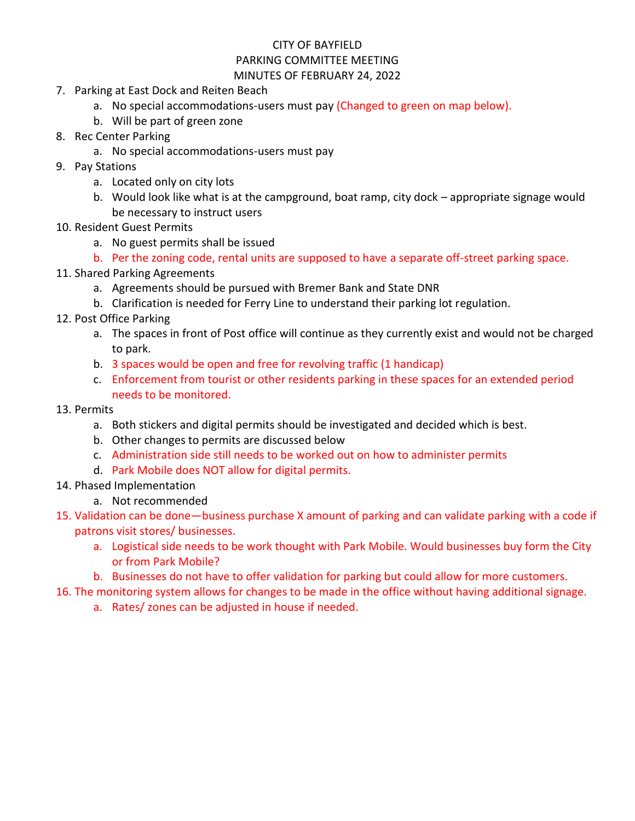# CITY OF BAYFIELD

#### PARKING COMMITTEE MEETING MINUTES OF FEBRUARY 24, 2022

- 7. Parking at East Dock and Reiten Beach
	- a. No special accommodations-users must pay (Changed to green on map below).
	- b. Will be part of green zone
- 8. Rec Center Parking
	- a. No special accommodations-users must pay
- 9. Pay Stations
	- a. Located only on city lots
	- b. Would look like what is at the campground, boat ramp, city dock appropriate signage would be necessary to instruct users
- 10. Resident Guest Permits
	- a. No guest permits shall be issued
	- b. Per the zoning code, rental units are supposed to have a separate off-street parking space.
- 11. Shared Parking Agreements
	- a. Agreements should be pursued with Bremer Bank and State DNR
	- b. Clarification is needed for Ferry Line to understand their parking lot regulation.
- 12. Post Office Parking
	- a. The spaces in front of Post office will continue as they currently exist and would not be charged to park.
	- b. 3 spaces would be open and free for revolving traffic (1 handicap)
	- c. Enforcement from tourist or other residents parking in these spaces for an extended period needs to be monitored.
- 13. Permits
	- a. Both stickers and digital permits should be investigated and decided which is best.
	- b. Other changes to permits are discussed below
	- c. Administration side still needs to be worked out on how to administer permits
	- d. Park Mobile does NOT allow for digital permits.
- 14. Phased Implementation
	- a. Not recommended
- 15. Validation can be done—business purchase X amount of parking and can validate parking with a code if patrons visit stores/ businesses.
	- a. Logistical side needs to be work thought with Park Mobile. Would businesses buy form the City or from Park Mobile?
	- b. Businesses do not have to offer validation for parking but could allow for more customers.
- 16. The monitoring system allows for changes to be made in the office without having additional signage.
	- a. Rates/ zones can be adjusted in house if needed.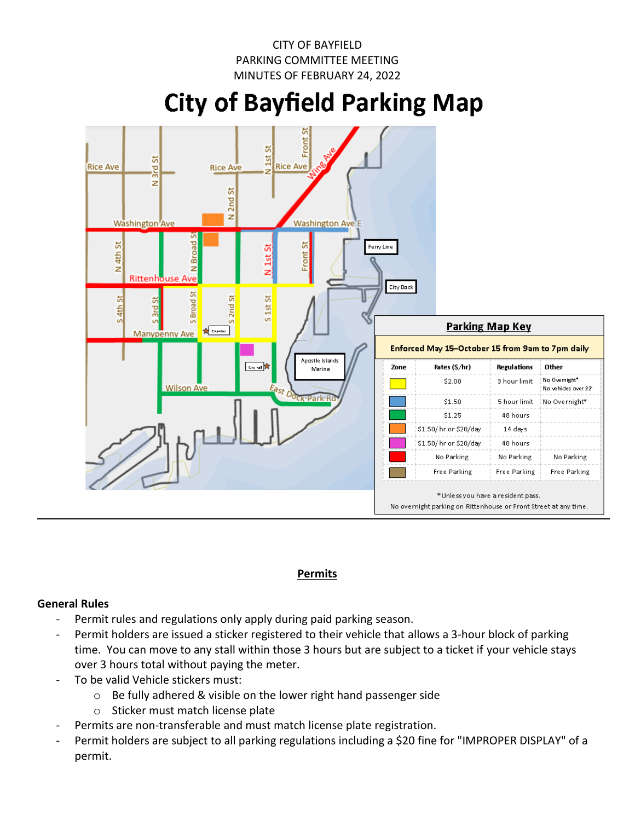# **City of Bayfield Parking Map**



### **Permits**

### **General Rules**

- Permit rules and regulations only apply during paid parking season.
- Permit holders are issued a sticker registered to their vehicle that allows a 3-hour block of parking time. You can move to any stall within those 3 hours but are subject to a ticket if your vehicle stays over 3 hours total without paying the meter.
- To be valid Vehicle stickers must:
	- o Be fully adhered & visible on the lower right hand passenger side
	- o Sticker must match license plate
- Permits are non-transferable and must match license plate registration.
- Permit holders are subject to all parking regulations including a \$20 fine for "IMPROPER DISPLAY" of a permit.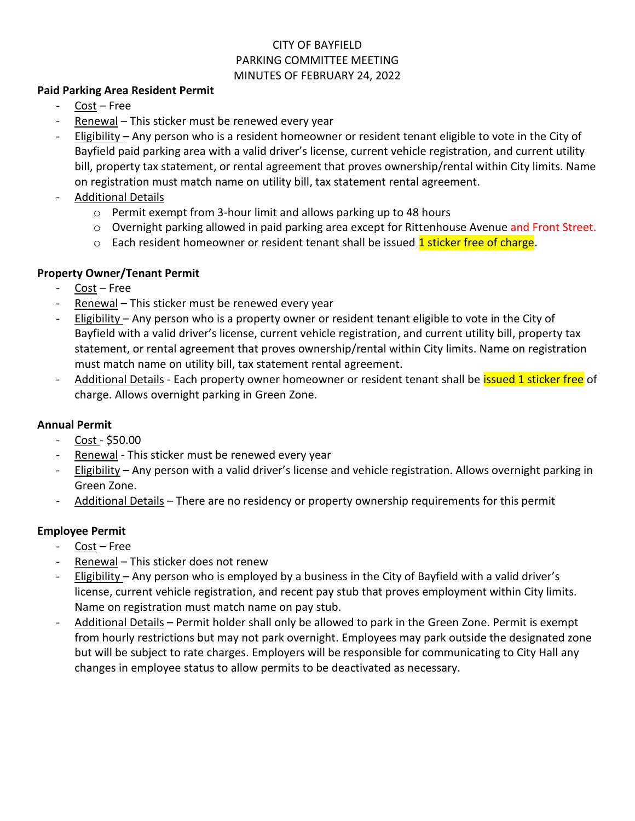### **Paid Parking Area Resident Permit**

- Cost Free
- Renewal This sticker must be renewed every year
- Eligibility Any person who is a resident homeowner or resident tenant eligible to vote in the City of Bayfield paid parking area with a valid driver's license, current vehicle registration, and current utility bill, property tax statement, or rental agreement that proves ownership/rental within City limits. Name on registration must match name on utility bill, tax statement rental agreement.
- Additional Details
	- o Permit exempt from 3-hour limit and allows parking up to 48 hours
	- o Overnight parking allowed in paid parking area except for Rittenhouse Avenue and Front Street.
	- $\circ$  Each resident homeowner or resident tenant shall be issued 1 sticker free of charge.

# **Property Owner/Tenant Permit**

- $Cost Free$
- Renewal This sticker must be renewed every year
- Eligibility Any person who is a property owner or resident tenant eligible to vote in the City of Bayfield with a valid driver's license, current vehicle registration, and current utility bill, property tax statement, or rental agreement that proves ownership/rental within City limits. Name on registration must match name on utility bill, tax statement rental agreement.
- Additional Details Each property owner homeowner or resident tenant shall be *issued 1 sticker free* of charge. Allows overnight parking in Green Zone.

# **Annual Permit**

- Cost \$50.00
- Renewal This sticker must be renewed every year
- Eligibility Any person with a valid driver's license and vehicle registration. Allows overnight parking in Green Zone.
- Additional Details There are no residency or property ownership requirements for this permit

# **Employee Permit**

- Cost Free
- Renewal This sticker does not renew
- Eligibility Any person who is employed by a business in the City of Bayfield with a valid driver's license, current vehicle registration, and recent pay stub that proves employment within City limits. Name on registration must match name on pay stub.
- Additional Details Permit holder shall only be allowed to park in the Green Zone. Permit is exempt from hourly restrictions but may not park overnight. Employees may park outside the designated zone but will be subject to rate charges. Employers will be responsible for communicating to City Hall any changes in employee status to allow permits to be deactivated as necessary.